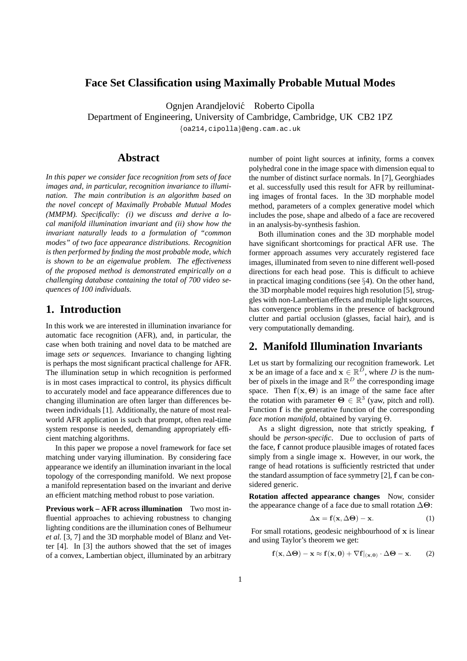### **Face Set Classification using Maximally Probable Mutual Modes**

Ognjen Arandjelović Roberto Cipolla

Department of Engineering, University of Cambridge, Cambridge, UK CB2 1PZ

{oa214,cipolla}@eng.cam.ac.uk

### **Abstract**

*In this paper we consider face recognition from sets of face images and, in particular, recognition invariance to illumination. The main contribution is an algorithm based on the novel concept of Maximally Probable Mutual Modes (MMPM). Specifically: (i) we discuss and derive a local manifold illumination invariant and (ii) show how the invariant naturally leads to a formulation of "common modes" of two face appearance distributions. Recognition is then performed by finding the most probable mode, which is shown to be an eigenvalue problem. The effectiveness of the proposed method is demonstrated empirically on a challenging database containing the total of 700 video sequences of 100 individuals.*

# **1. Introduction**

In this work we are interested in illumination invariance for automatic face recognition (AFR), and, in particular, the case when both training and novel data to be matched are image *sets or sequences*. Invariance to changing lighting is perhaps the most significant practical challenge for AFR. The illumination setup in which recognition is performed is in most cases impractical to control, its physics difficult to accurately model and face appearance differences due to changing illumination are often larger than differences between individuals [1]. Additionally, the nature of most realworld AFR application is such that prompt, often real-time system response is needed, demanding appropriately efficient matching algorithms.

In this paper we propose a novel framework for face set matching under varying illumination. By considering face appearance we identify an illumination invariant in the local topology of the corresponding manifold. We next propose a manifold representation based on the invariant and derive an efficient matching method robust to pose variation.

**Previous work – AFR across illumination** Two most influential approaches to achieving robustness to changing lighting conditions are the illumination cones of Belhumeur *et al.* [3, 7] and the 3D morphable model of Blanz and Vetter [4]. In [3] the authors showed that the set of images of a convex, Lambertian object, illuminated by an arbitrary

number of point light sources at infinity, forms a convex polyhedral cone in the image space with dimension equal to the number of distinct surface normals. In [7], Georghiades et al. successfully used this result for AFR by reilluminating images of frontal faces. In the 3D morphable model method, parameters of a complex generative model which includes the pose, shape and albedo of a face are recovered in an analysis-by-synthesis fashion.

Both illumination cones and the 3D morphable model have significant shortcomings for practical AFR use. The former approach assumes very accurately registered face images, illuminated from seven to nine different well-posed directions for each head pose. This is difficult to achieve in practical imaging conditions (see §4). On the other hand, the 3D morphable model requires high resolution [5], struggles with non-Lambertian effects and multiple light sources, has convergence problems in the presence of background clutter and partial occlusion (glasses, facial hair), and is very computationally demanding.

## **2. Manifold Illumination Invariants**

Let us start by formalizing our recognition framework. Let x be an image of a face and  $x \in \mathbb{R}^D$ , where D is the number of pixels in the image and  $\mathbb{R}^D$  the corresponding image space. Then  $f(x, \Theta)$  is an image of the same face after the rotation with parameter  $\Theta \in \mathbb{R}^3$  (yaw, pitch and roll). Function f is the generative function of the corresponding *face motion manifold*, obtained by varying Θ.

As a slight digression, note that strictly speaking, f should be *person-specific*. Due to occlusion of parts of the face, f cannot produce plausible images of rotated faces simply from a single image x. However, in our work, the range of head rotations is sufficiently restricted that under the standard assumption of face symmetry [2], f can be considered generic.

**Rotation affected appearance changes** Now, consider the appearance change of a face due to small rotation  $\Delta\Theta$ :

$$
\Delta \mathbf{x} = \mathbf{f}(\mathbf{x}, \Delta \mathbf{\Theta}) - \mathbf{x}.\tag{1}
$$

For small rotations, geodesic neighbourhood of  $x$  is linear and using Taylor's theorem we get:

$$
\mathbf{f}(\mathbf{x}, \Delta \mathbf{\Theta}) - \mathbf{x} \approx \mathbf{f}(\mathbf{x}, \mathbf{0}) + \nabla \mathbf{f}|_{(\mathbf{x}, \mathbf{0})} \cdot \Delta \mathbf{\Theta} - \mathbf{x}.
$$
 (2)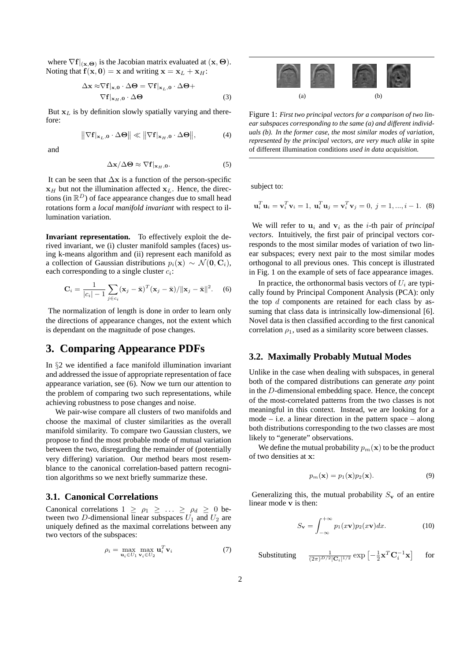where  $\nabla f|_{(\mathbf{x}, \Theta)}$  is the Jacobian matrix evaluated at  $(\mathbf{x}, \Theta)$ . Noting that  $f(x, 0) = x$  and writing  $x = x_L + x_H$ :

$$
\Delta \mathbf{x} \approx \nabla \mathbf{f}|_{\mathbf{x},\mathbf{0}} \cdot \Delta \mathbf{\Theta} = \nabla \mathbf{f}|_{\mathbf{x}_L, \mathbf{0}} \cdot \Delta \mathbf{\Theta} +
$$
  

$$
\nabla \mathbf{f}|_{\mathbf{x}_H, \mathbf{0}} \cdot \Delta \mathbf{\Theta}
$$
 (3)

But  $x_L$  is by definition slowly spatially varying and therefore:

$$
\|\nabla f|_{\mathbf{x}_L,0} \cdot \Delta \Theta\| \ll \|\nabla f|_{\mathbf{x}_H,0} \cdot \Delta \Theta\|,\tag{4}
$$

and

$$
\Delta \mathbf{x} / \Delta \mathbf{\Theta} \approx \nabla \mathbf{f} |_{\mathbf{x}_H, \mathbf{0}}.\tag{5}
$$

It can be seen that  $\Delta x$  is a function of the person-specific  $x_H$  but not the illumination affected  $x_L$ . Hence, the directions (in  $\mathbb{R}^D$ ) of face appearance changes due to small head rotations form a *local manifold invariant* with respect to illumination variation.

**Invariant representation.** To effectively exploit the derived invariant, we (i) cluster manifold samples (faces) using k-means algorithm and (ii) represent each manifold as a collection of Gaussian distributions  $p_i(\mathbf{x}) \sim \mathcal{N}(\mathbf{0}, \mathbf{C}_i)$ , each corresponding to a single cluster  $c_i$ :

$$
\mathbf{C}_i = \frac{1}{|c_i| - 1} \sum_{j \in c_i} (\mathbf{x}_j - \bar{\mathbf{x}})^T (\mathbf{x}_j - \bar{\mathbf{x}}) / ||\mathbf{x}_j - \bar{\mathbf{x}}||^2.
$$
 (6)

The normalization of length is done in order to learn only the directions of appearance changes, not the extent which is dependant on the magnitude of pose changes.

### **3. Comparing Appearance PDFs**

In §2 we identified a face manifold illumination invariant and addressed the issue of appropriate representation of face appearance variation, see (6). Now we turn our attention to the problem of comparing two such representations, while achieving robustness to pose changes and noise.

We pair-wise compare all clusters of two manifolds and choose the maximal of cluster similarities as the overall manifold similarity. To compare two Gaussian clusters, we propose to find the most probable mode of mutual variation between the two, disregarding the remainder of (potentially very differing) variation. Our method bears most resemblance to the canonical correlation-based pattern recognition algorithms so we next briefly summarize these.

#### **3.1. Canonical Correlations**

Canonical correlations  $1 \ge \rho_1 \ge \ldots \ge \rho_d \ge 0$  between two D-dimensional linear subspaces  $U_1$  and  $U_2$  are uniquely defined as the maximal correlations between any two vectors of the subspaces:

$$
\rho_i = \max_{\mathbf{u}_i \in U_1} \max_{\mathbf{v}_i \in U_2} \mathbf{u}_i^T \mathbf{v}_i \tag{7}
$$



Figure 1: *First two principal vectors for a comparison of two linear subspaces corresponding to the same (a) and different individuals (b). In the former case, the most similar modes of variation, represented by the principal vectors, are very much alike* in spite of different illumination conditions *used in data acquisition.*

subject to:

$$
\mathbf{u}_i^T \mathbf{u}_i = \mathbf{v}_i^T \mathbf{v}_i = 1, \ \mathbf{u}_i^T \mathbf{u}_j = \mathbf{v}_i^T \mathbf{v}_j = 0, \ j = 1, ..., i - 1.
$$
 (8)

We will refer to  $\mathbf{u}_i$  and  $\mathbf{v}_i$  as the *i*-th pair of *principal vectors*. Intuitively, the first pair of principal vectors corresponds to the most similar modes of variation of two linear subspaces; every next pair to the most similar modes orthogonal to all previous ones. This concept is illustrated in Fig. 1 on the example of sets of face appearance images.

In practice, the orthonormal basis vectors of  $U_i$  are typically found by Principal Component Analysis (PCA): only the top  $d$  components are retained for each class by assuming that class data is intrinsically low-dimensional [6]. Novel data is then classified according to the first canonical correlation  $\rho_1$ , used as a similarity score between classes.

#### **3.2. Maximally Probably Mutual Modes**

Unlike in the case when dealing with subspaces, in general both of the compared distributions can generate *any* point in the D-dimensional embedding space. Hence, the concept of the most-correlated patterns from the two classes is not meaningful in this context. Instead, we are looking for a mode – i.e. a linear direction in the pattern space – along both distributions corresponding to the two classes are most likely to "generate" observations.

We define the mutual probability  $p_m(\mathbf{x})$  to be the product of two densities at x:

$$
p_m(\mathbf{x}) = p_1(\mathbf{x})p_2(\mathbf{x}).\tag{9}
$$

Generalizing this, the mutual probability  $S_{\mathbf{v}}$  of an entire linear mode v is then:

$$
S_{\mathbf{v}} = \int_{-\infty}^{+\infty} p_1(x\mathbf{v}) p_2(x\mathbf{v}) dx.
$$
 (10)

Substituting <sup>1</sup>

$$
\textstyle\frac{1}{(2\pi)^{D/2}|\mathbf{C}_i|^{1/2}}\exp\left[-\frac{1}{2}\mathbf{x}^T\mathbf{C}_i^{-1}\mathbf{x}\right]\quad \ \, \text{for}\quad \,
$$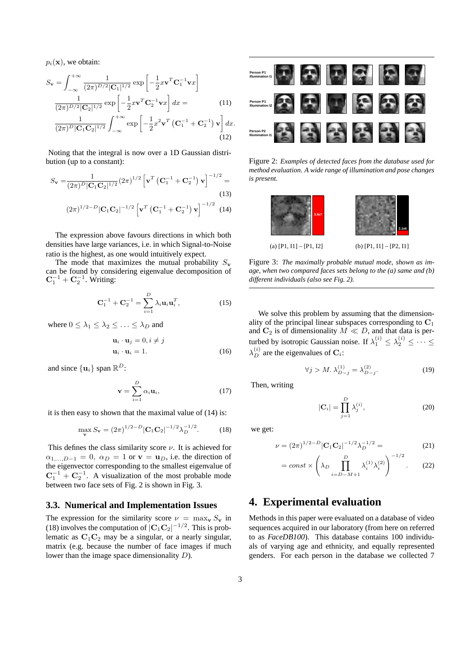$p_i(\mathbf{x})$ , we obtain:

$$
S_{\mathbf{v}} = \int_{-\infty}^{+\infty} \frac{1}{(2\pi)^{D/2} |\mathbf{C}_1|^{1/2}} \exp\left[-\frac{1}{2} x \mathbf{v}^T \mathbf{C}_1^{-1} \mathbf{v} x\right]
$$

$$
\frac{1}{(2\pi)^{D/2} |\mathbf{C}_2|^{1/2}} \exp\left[-\frac{1}{2} x \mathbf{v}^T \mathbf{C}_2^{-1} \mathbf{v} x\right] dx = \qquad (11)
$$

$$
\frac{1}{(2\pi)^{D} |\mathbf{C}_1 \mathbf{C}_2|^{1/2}} \int_{-\infty}^{+\infty} \exp\left[-\frac{1}{2} x^2 \mathbf{v}^T \left(\mathbf{C}_1^{-1} + \mathbf{C}_2^{-1}\right) \mathbf{v}\right] dx.
$$

$$
(12)
$$

Noting that the integral is now over a 1D Gaussian distribution (up to a constant):

$$
S_{\mathbf{v}} = \frac{1}{(2\pi)^D |\mathbf{C}_1 \mathbf{C}_2|^{1/2}} (2\pi)^{1/2} \left[ \mathbf{v}^T \left( \mathbf{C}_1^{-1} + \mathbf{C}_2^{-1} \right) \mathbf{v} \right]^{-1/2} =
$$
\n(13)

$$
(2\pi)^{1/2-D} |\mathbf{C}_1 \mathbf{C}_2|^{-1/2} \left[ \mathbf{v}^T \left( \mathbf{C}_1^{-1} + \mathbf{C}_2^{-1} \right) \mathbf{v} \right]^{-1/2} (14)
$$

The expression above favours directions in which both densities have large variances, i.e. in which Signal-to-Noise ratio is the highest, as one would intuitively expect.

The mode that maximizes the mutual probability  $S_{\mathbf{v}}$ can be found by considering eigenvalue decomposition of  ${\bf C}_1^{-1} + {\bf C}_2^{-1}$ . Writing:

$$
C_1^{-1} + C_2^{-1} = \sum_{i=1}^{D} \lambda_i u_i u_i^T,
$$
 (15)

where  $0 \leq \lambda_1 \leq \lambda_2 \leq \ldots \leq \lambda_D$  and

$$
\mathbf{u}_i \cdot \mathbf{u}_j = 0, i \neq j
$$
  

$$
\mathbf{u}_i \cdot \mathbf{u}_i = 1.
$$
 (16)

and since  $\{u_i\}$  span  $\mathbb{R}^D$ :

$$
\mathbf{v} = \sum_{i=1}^{D} \alpha_i \mathbf{u}_i, \qquad (17)
$$

it is then easy to shown that the maximal value of (14) is:

$$
\max_{\mathbf{v}} S_{\mathbf{v}} = (2\pi)^{1/2-D} |\mathbf{C}_1 \mathbf{C}_2|^{-1/2} \lambda_D^{-1/2}.
$$
 (18)

This defines the class similarity score  $\nu$ . It is achieved for  $\alpha_{1,...,D-1} = 0$ ,  $\alpha_D = 1$  or  $\mathbf{v} = \mathbf{u}_D$ , i.e. the direction of the eigenvector corresponding to the smallest eigenvalue of  $C_1^{-1} + C_2^{-1}$ . A visualization of the most probable mode between two face sets of Fig. 2 is shown in Fig. 3.

### **3.3. Numerical and Implementation Issues**

The expression for the similarity score  $\nu = \max_{\mathbf{v}} S_{\mathbf{v}}$  in (18) involves the computation of  $|C_1C_2|^{-1/2}$ . This is problematic as  $C_1C_2$  may be a singular, or a nearly singular, matrix (e.g. because the number of face images if much lower than the image space dimensionality D).



Figure 2: *Examples of detected faces from the database used for method evaluation. A wide range of illumination and pose changes is present.*



Figure 3: *The maximally probable mutual mode, shown as image, when two compared faces sets belong to the (a) same and (b) different individuals (also see Fig. 2).*

We solve this problem by assuming that the dimensionality of the principal linear subspaces corresponding to  $C_1$ and  $C_2$  is of dimensionality  $M \ll D$ , and that data is perturbed by isotropic Gaussian noise. If  $\lambda_1^{(i)} \leq \lambda_2^{(i)} \leq \cdots \leq$  $\lambda_D^{(i)}$  are the eigenvalues of  $\mathbf{C}_i$ :

$$
\forall j > M. \ \lambda_{D-j}^{(1)} = \lambda_{D-j}^{(2)}.\tag{19}
$$

Then, writing

$$
|\mathbf{C}_i| = \prod_{j=1}^{D} \lambda_j^{(i)},\tag{20}
$$

we get:

$$
\nu = (2\pi)^{1/2 - D} |\mathbf{C}_1 \mathbf{C}_2|^{-1/2} \lambda_D^{-1/2} = (21)
$$

$$
= const \times \left(\lambda_D \prod_{i=D-M+1}^{D} \lambda_i^{(1)} \lambda_i^{(2)}\right)^{-1/2}.
$$
 (22)

### **4. Experimental evaluation**

Methods in this paper were evaluated on a database of video sequences acquired in our laboratory (from here on referred to as *FaceDB100*). This database contains 100 individuals of varying age and ethnicity, and equally represented genders. For each person in the database we collected 7